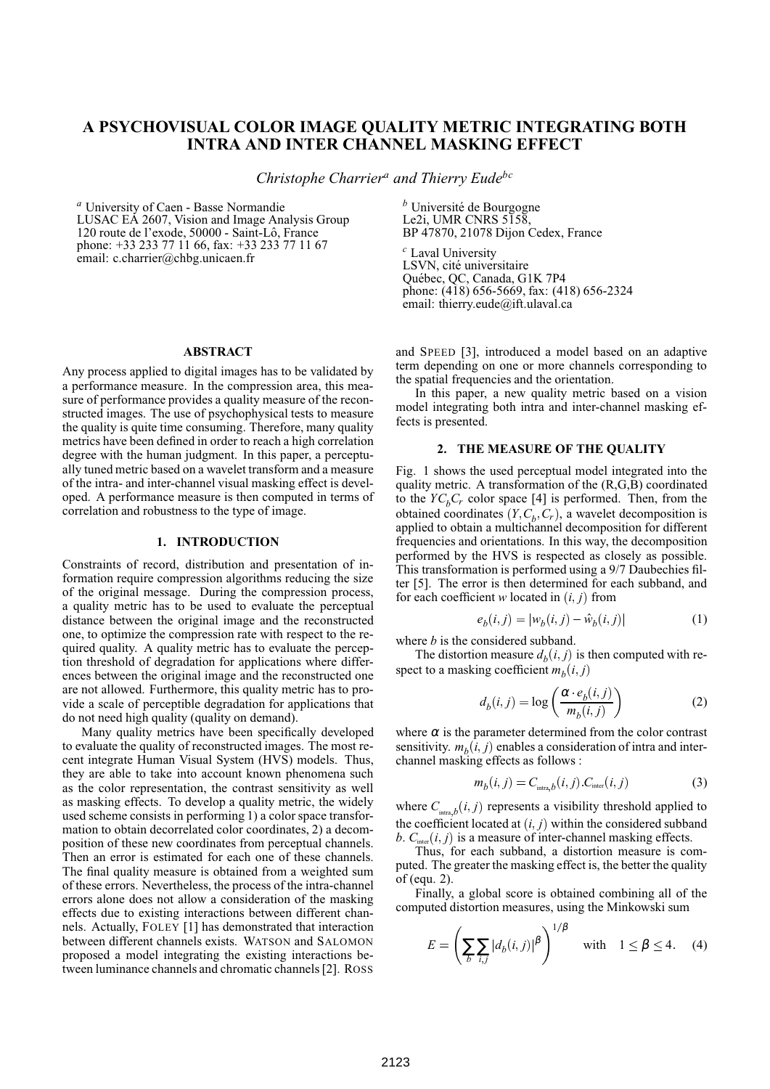# **A PSYCHOVISUAL COLOR IMAGE QUALITY METRIC INTEGRATING BOTH INTRA AND INTER CHANNEL MASKING EFFECT**

*Christophe Charrier<sup>a</sup> and Thierry Eudebc*

*<sup>a</sup>* University of Caen - Basse Normandie LUSAC EA 2607, Vision and Image Analysis Group 120 route de l'exode, 50000 - Saint-Lô, France phone: +33 233 77 11 66, fax: +33 233 77 11 67 email: c.charrier@chbg.unicaen.fr

*b* Université de Bourgogne Le<sub>2i</sub>, UMR CNRS 5158, BP 47870, 21078 Dijon Cedex, France

*<sup>c</sup>* Laval University LSVN, cité universitaire Québec, QC, Canada, G1K 7P4 phone: (418) 656-5669, fax: (418) 656-2324 email: thierry.eude@ift.ulaval.ca

### **ABSTRACT**

Any process applied to digital images has to be validated by a performance measure. In the compression area, this measure of performance provides a quality measure of the reconstructed images. The use of psychophysical tests to measure the quality is quite time consuming. Therefore, many quality metrics have been defined in order to reach a high correlation degree with the human judgment. In this paper, a perceptually tuned metric based on a wavelet transform and a measure of the intra- and inter-channel visual masking effect is developed. A performance measure is then computed in terms of correlation and robustness to the type of image.

#### **1. INTRODUCTION**

Constraints of record, distribution and presentation of information require compression algorithms reducing the size of the original message. During the compression process, a quality metric has to be used to evaluate the perceptual distance between the original image and the reconstructed one, to optimize the compression rate with respect to the required quality. A quality metric has to evaluate the perception threshold of degradation for applications where differences between the original image and the reconstructed one are not allowed. Furthermore, this quality metric has to provide a scale of perceptible degradation for applications that do not need high quality (quality on demand).

Many quality metrics have been specifically developed to evaluate the quality of reconstructed images. The most recent integrate Human Visual System (HVS) models. Thus, they are able to take into account known phenomena such as the color representation, the contrast sensitivity as well as masking effects. To develop a quality metric, the widely used scheme consists in performing 1) a color space transformation to obtain decorrelated color coordinates, 2) a decomposition of these new coordinates from perceptual channels. Then an error is estimated for each one of these channels. The final quality measure is obtained from a weighted sum of these errors. Nevertheless, the process of the intra-channel errors alone does not allow a consideration of the masking effects due to existing interactions between different channels. Actually, FOLEY [1] has demonstrated that interaction between different channels exists. WATSON and SALOMON proposed a model integrating the existing interactions between luminance channels and chromatic channels[2]. ROSS

and SPEED [3], introduced a model based on an adaptive term depending on one or more channels corresponding to the spatial frequencies and the orientation.

In this paper, a new quality metric based on a vision model integrating both intra and inter-channel masking effects is presented.

# **2. THE MEASURE OF THE QUALITY**

Fig. 1 shows the used perceptual model integrated into the quality metric. A transformation of the (R,G,B) coordinated to the  $YC<sub>b</sub>C<sub>r</sub>$  color space [4] is performed. Then, from the obtained coordinates  $(Y, C_b, C_r)$ , a wavelet decomposition is applied to obtain a multichannel decomposition for different frequencies and orientations. In this way, the decomposition performed by the HVS is respected as closely as possible. This transformation is performed using a 9/7 Daubechies filter [5]. The error is then determined for each subband, and for each coefficient *w* located in  $(i, j)$  from

$$
e_b(i,j) = |w_b(i,j) - \hat{w}_b(i,j)|
$$
 (1)

where *b* is the considered subband.

The distortion measure  $d_b(i, j)$  is then computed with respect to a masking coefficient  $m_b(i, j)$ 

$$
d_b(i,j) = \log\left(\frac{\alpha \cdot e_b(i,j)}{m_b(i,j)}\right)
$$
 (2)

where  $\alpha$  is the parameter determined from the color contrast sensitivity.  $m_b(i, j)$  enables a consideration of intra and interchannel masking effects as follows :

$$
m_b(i,j) = C_{\text{intra},b}(i,j) C_{\text{inter}}(i,j) \tag{3}
$$

where  $C_{\text{intra},b}(i,j)$  represents a visibility threshold applied to the coefficient located at  $(i, j)$  within the considered subband *b*.  $C_{\text{inter}}(i, j)$  is a measure of inter-channel masking effects.

Thus, for each subband, a distortion measure is computed. The greater the masking effect is, the better the quality of (equ. 2).

Finally, a global score is obtained combining all of the computed distortion measures, using the Minkowski sum

$$
E = \left(\sum_{b} \sum_{i,j} |d_b(i,j)|^{\beta}\right)^{1/\beta} \quad \text{with} \quad 1 \le \beta \le 4. \tag{4}
$$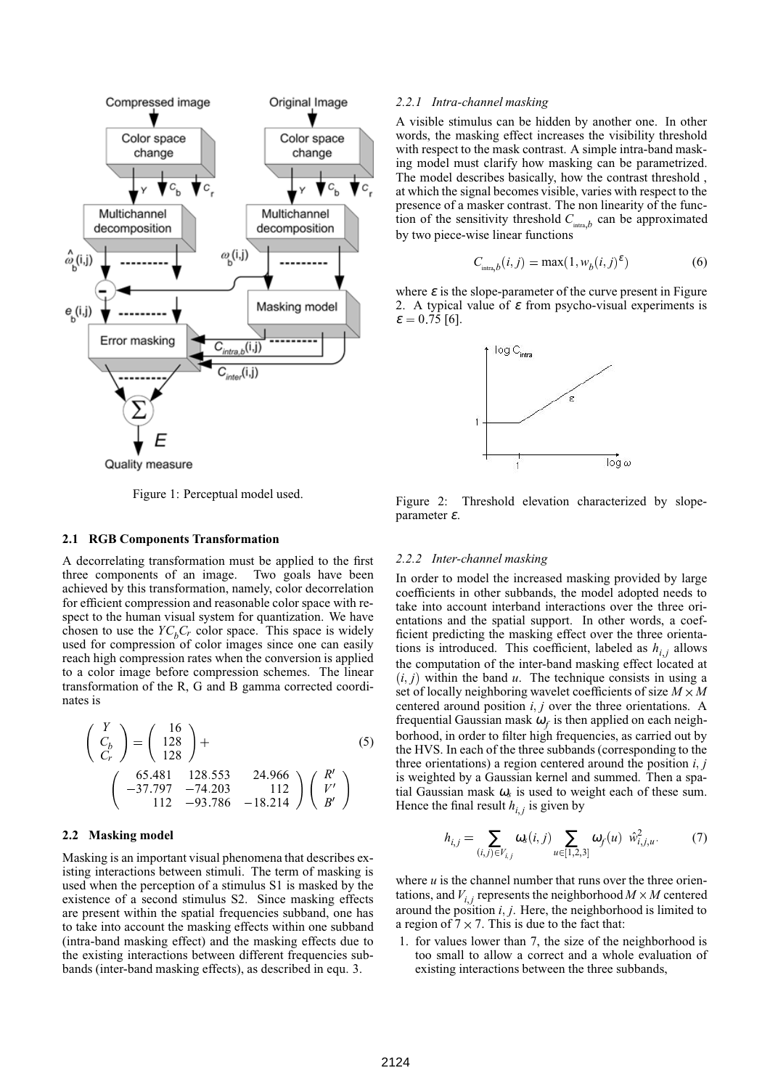

Figure 1: Perceptual model used.

#### **2.1 RGB Components Transformation**

A decorrelating transformation must be applied to the first three components of an image. Two goals have been achieved by this transformation, namely, color decorrelation for efficient compression and reasonable color space with respect to the human visual system for quantization. We have chosen to use the  $YC<sub>b</sub>C<sub>r</sub>$  color space. This space is widely used for compression of color images since one can easily reach high compression rates when the conversion is applied to a color image before compression schemes. The linear transformation of the R, G and B gamma corrected coordinates is

$$
\begin{pmatrix}\nY \\
C_b \\
C_r\n\end{pmatrix} = \begin{pmatrix}\n16 \\
128 \\
128\n\end{pmatrix} + \n(5)\n\begin{pmatrix}\n16 \\
128 \\
128\n\end{pmatrix}
$$
\n
$$
\begin{pmatrix}\n65.481 & 128.553 & 24.966 \\
-37.797 & -74.203 & 112 \\
112 & -93.786 & -18.214\n\end{pmatrix} \begin{pmatrix}\nR' \\
V' \\
B'\n\end{pmatrix} = \begin{pmatrix}\n1 \\
1 \\
1\n\end{pmatrix}
$$

# **2.2 Masking model**

Masking is an important visual phenomena that describes existing interactions between stimuli. The term of masking is used when the perception of a stimulus S1 is masked by the existence of a second stimulus S2. Since masking effects are present within the spatial frequencies subband, one has to take into account the masking effects within one subband (intra-band masking effect) and the masking effects due to the existing interactions between different frequencies subbands (inter-band masking effects), as described in equ. 3.

#### *2.2.1 Intra-channel masking*

A visible stimulus can be hidden by another one. In other words, the masking effect increases the visibility threshold with respect to the mask contrast. A simple intra-band masking model must clarify how masking can be parametrized. The model describes basically, how the contrast threshold , at which the signal becomes visible, varies with respect to the presence of a masker contrast. The non linearity of the function of the sensitivity threshold  $C_{\text{intra},b}$  can be approximated by two piece-wise linear functions

$$
C_{\text{intra},b}(i,j) = \max(1, w_b(i,j)^{\varepsilon})
$$
 (6)

where  $\varepsilon$  is the slope-parameter of the curve present in Figure 2. A typical value of  $\varepsilon$  from psycho-visual experiments is  $\varepsilon = 0.75$  [6].



Figure 2: Threshold elevation characterized by slopeparameter <sup>ε</sup>.

#### *2.2.2 Inter-channel masking*

In order to model the increased masking provided by large coefficients in other subbands, the model adopted needs to take into account interband interactions over the three orientations and the spatial support. In other words, a coefficient predicting the masking effect over the three orientations is introduced. This coefficient, labeled as  $h_{i,j}$  allows the computation of the inter-band masking effect located at  $(i, j)$  within the band  $u$ . The technique consists in using a set of locally neighboring wavelet coefficients of size  $M \times M$ centered around position  $i, j$  over the three orientations. A frequential Gaussian mask  $\omega_f$  is then applied on each neighborhood, in order to filter high frequencies, as carried out by the HVS. In each of the three subbands (corresponding to the three orientations) a region centered around the position *i j* is weighted by a Gaussian kernel and summed. Then a spatial Gaussian mask  $\omega_s$  is used to weight each of these sum. Hence the final result  $h_{i,j}$  is given by

$$
h_{i,j} = \sum_{(i,j) \in V_{i,j}} \omega_s(i,j) \sum_{u \in [1,2,3]} \omega_f(u) \hat{w}_{i,j,u}^2.
$$
 (7)

where  $u$  is the channel number that runs over the three orientations, and  $V_{i,j}$  represents the neighborhood  $M \times M$  centered around the position  $i, j$ . Here, the neighborhood is limited to a region of  $7 \times 7$ . This is due to the fact that:

1. for values lower than 7, the size of the neighborhood is too small to allow a correct and a whole evaluation of existing interactions between the three subbands,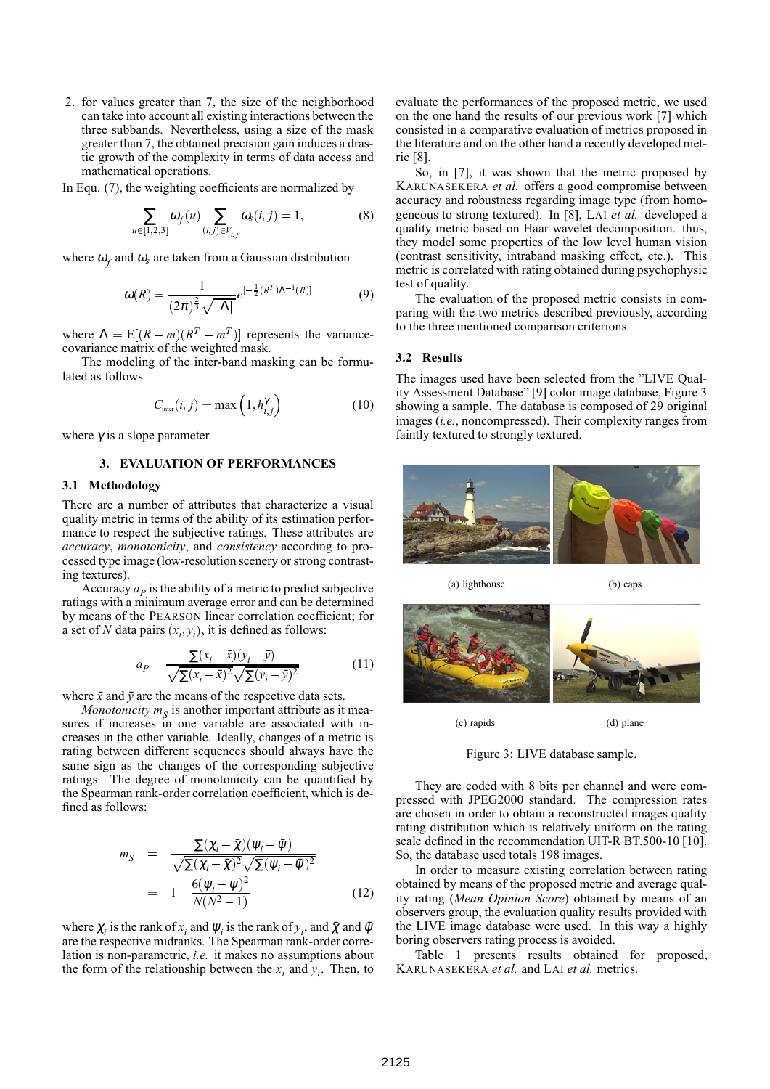2. for values greater than 7, the size of the neighborhood can take into account all existing interactions between the three subbands. Nevertheless, using a size of the mask greater than 7, the obtained precision gain induces a drastic growth of the complexity in terms of data access and mathematical operations.

In Equ. (7), the weighting coefficients are normalized by

$$
\sum_{u \in [1,2,3]} \omega_f(u) \sum_{(i,j) \in V_{i,j}} \omega_s(i,j) = 1,
$$
 (8)

where  $\omega_f$  and  $\omega_s$  are taken from a Gaussian distribution

$$
\omega(R) = \frac{1}{(2\pi)^{\frac{2}{3}}\sqrt{||\Lambda||}}e^{[-\frac{1}{2}(R^{T})\Lambda^{-1}(R)]}
$$
(9)

where  $\Lambda = \mathbb{E}[(R-m)(R^T - R^T)]$  $(R^T - m^T)$  represents the variancecovariance matrix of the weighted mask.

The modeling of the inter-band masking can be formulated as follows

$$
C_{\text{inter}}(i,j) = \max\left(1, h_{i,j}^{\gamma}\right) \tag{10}
$$

where  $\gamma$  is a slope parameter.

# **3. EVALUATION OF PERFORMANCES**

# **3.1 Methodology**

There are a number of attributes that characterize a visual quality metric in terms of the ability of its estimation performance to respect the subjective ratings. These attributes are *accuracy*, *monotonicity*, and *consistency* according to processed type image (low-resolution scenery or strong contrasting textures).

Accuracy  $a_p$  is the ability of a metric to predict subjective ratings with a minimum average error and can be determined by means of the PEARSON linear correlation coefficient; for a set of *N* data pairs  $(x_i, y_i)$ , it is defined as follows:

$$
a_P = \frac{\sum (x_i - \bar{x})(y_i - \bar{y})}{\sqrt{\sum (x_i - \bar{x})^2} \sqrt{\sum (y_i - \bar{y})^2}}
$$
(11)

where  $\bar{x}$  and  $\bar{y}$  are the means of the respective data sets.

*Monotonicity*  $m<sub>S</sub>$  is another important attribute as it measures if increases in one variable are associated with increases in the other variable. Ideally, changes of a metric is rating between different sequences should always have the same sign as the changes of the corresponding subjective ratings. The degree of monotonicity can be quantified by the Spearman rank-order correlation coefficient, which is defined as follows:

$$
m_S = \frac{\Sigma(\chi_i - \bar{\chi})(\psi_i - \bar{\psi})}{\sqrt{\Sigma(\chi_i - \bar{\chi})^2}\sqrt{\Sigma(\psi_i - \bar{\psi})^2}}
$$
  
= 
$$
1 - \frac{6(\psi_i - \psi)^2}{N(N^2 - 1)}
$$
(12)

where  $\chi_i$  is the rank of  $x_i$  and  $\psi_i$  is the rank of  $y_i$ , and  $\bar{\chi}$  and  $\bar{\psi}$ are the respective midranks. The Spearman rank-order correlation is non-parametric, *i.e.* it makes no assumptions about the form of the relationship between the  $x_i$  and  $y_i$ . Then, to

evaluate the performances of the proposed metric, we used on the one hand the results of our previous work [7] which consisted in a comparative evaluation of metrics proposed in the literature and on the other hand a recently developed metric [8].

So, in [7], it was shown that the metric proposed by KARUNASEKERA *et al.* offers a good compromise between accuracy and robustness regarding image type (from homogeneous to strong textured). In [8], LAI *et al.* developed a quality metric based on Haar wavelet decomposition. thus, they model some properties of the low level human vision (contrast sensitivity, intraband masking effect, etc.). This metric is correlated with rating obtained during psychophysic test of quality.

The evaluation of the proposed metric consists in comparing with the two metrics described previously, according to the three mentioned comparison criterions.

#### **3.2 Results**

The images used have been selected from the "LIVE Quality Assessment Database" [9] color image database, Figure 3 showing a sample. The database is composed of 29 original images (*i.e.*, noncompressed). Their complexity ranges from faintly textured to strongly textured.



(a) lighthouse (b) caps





(c) rapids (d) plane

Figure 3: LIVE database sample.

They are coded with 8 bits per channel and were compressed with JPEG2000 standard. The compression rates are chosen in order to obtain a reconstructed images quality rating distribution which is relatively uniform on the rating scale defined in the recommendation UIT-R BT.500-10 [10]. So, the database used totals 198 images.

In order to measure existing correlation between rating obtained by means of the proposed metric and average quality rating (*Mean Opinion Score*) obtained by means of an observers group, the evaluation quality results provided with the LIVE image database were used. In this way a highly boring observers rating process is avoided.

Table 1 presents results obtained for proposed, KARUNASEKERA *et al.* and LAI *et al.* metrics.